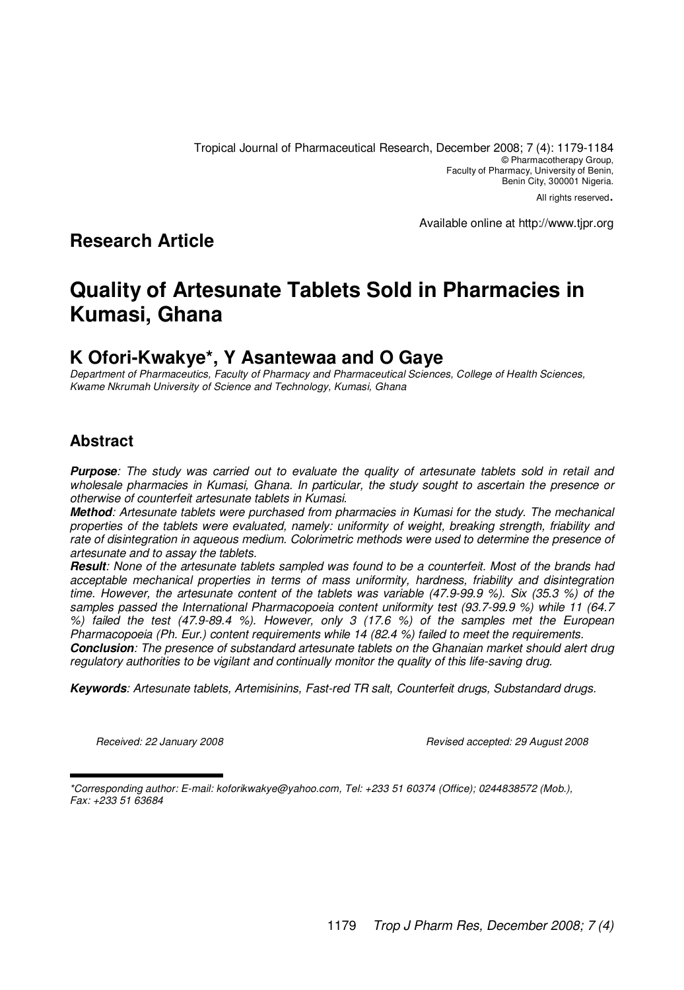Tropical Journal of Pharmaceutical Research, December 2008; 7 (4): 1179-1184 © Pharmacotherapy Group, Faculty of Pharmacy, University of Benin, Benin City, 300001 Nigeria.

All rights reserved.

Available online at http://www.tjpr.org

**Research Article**

# **Quality of Artesunate Tablets Sold in Pharmacies in Kumasi, Ghana**

# **K Ofori-Kwakye\*, Y Asantewaa and O Gaye**

Department of Pharmaceutics, Faculty of Pharmacy and Pharmaceutical Sciences, College of Health Sciences, Kwame Nkrumah University of Science and Technology, Kumasi, Ghana

## **Abstract**

**Purpose**: The study was carried out to evaluate the quality of artesunate tablets sold in retail and wholesale pharmacies in Kumasi, Ghana. In particular, the study sought to ascertain the presence or otherwise of counterfeit artesunate tablets in Kumasi.

**Method**: Artesunate tablets were purchased from pharmacies in Kumasi for the study. The mechanical properties of the tablets were evaluated, namely: uniformity of weight, breaking strength, friability and rate of disintegration in aqueous medium. Colorimetric methods were used to determine the presence of artesunate and to assay the tablets.

**Result**: None of the artesunate tablets sampled was found to be a counterfeit. Most of the brands had acceptable mechanical properties in terms of mass uniformity, hardness, friability and disintegration time. However, the artesunate content of the tablets was variable (47.9-99.9 %). Six (35.3 %) of the samples passed the International Pharmacopoeia content uniformity test (93.7-99.9 %) while 11 (64.7 %) failed the test (47.9-89.4 %). However, only 3 (17.6 %) of the samples met the European Pharmacopoeia (Ph. Eur.) content requirements while 14 (82.4 %) failed to meet the requirements.

**Conclusion**: The presence of substandard artesunate tablets on the Ghanaian market should alert drug regulatory authorities to be vigilant and continually monitor the quality of this life-saving drug.

**Keywords**: Artesunate tablets, Artemisinins, Fast-red TR salt, Counterfeit drugs, Substandard drugs.

Received: 22 January 2008 **Revised accepted: 29 August 2008** Revised accepted: 29 August 2008

\*Corresponding author: E-mail: koforikwakye@yahoo.com, Tel: +233 51 60374 (Office); 0244838572 (Mob.), Fax: +233 51 63684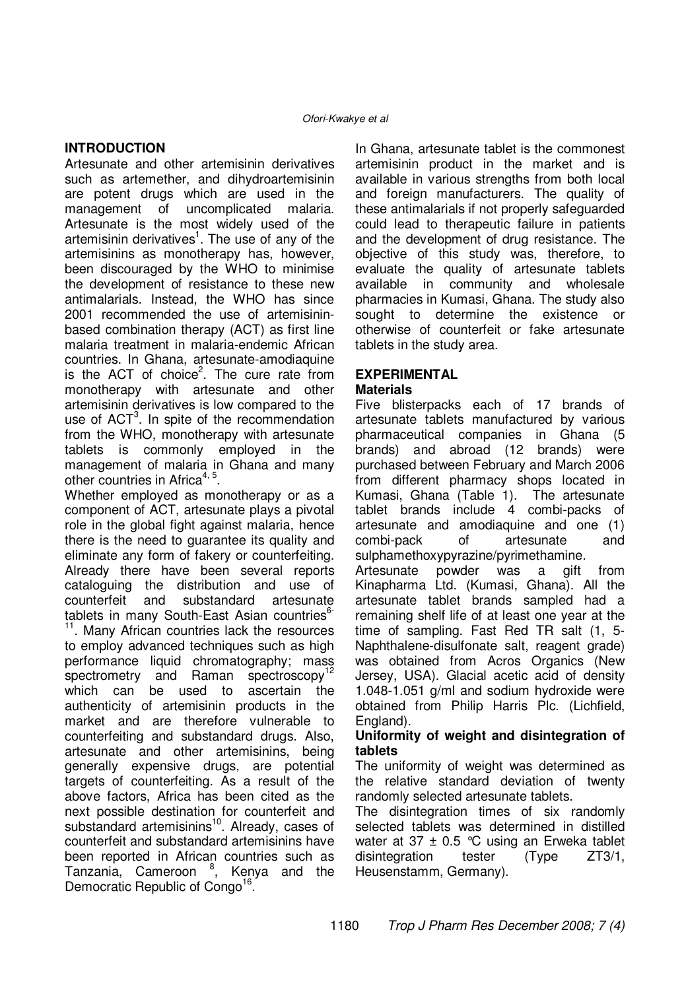#### **INTRODUCTION**

Artesunate and other artemisinin derivatives such as artemether, and dihydroartemisinin are potent drugs which are used in the management of uncomplicated malaria. Artesunate is the most widely used of the artemisinin derivatives<sup>1</sup>. The use of any of the artemisinins as monotherapy has, however, been discouraged by the WHO to minimise the development of resistance to these new antimalarials. Instead, the WHO has since 2001 recommended the use of artemisininbased combination therapy (ACT) as first line malaria treatment in malaria-endemic African countries. In Ghana, artesunate-amodiaquine is the ACT of choice<sup>2</sup>. The cure rate from monotherapy with artesunate and other artemisinin derivatives is low compared to the use of ACT<sup>3</sup>. In spite of the recommendation from the WHO, monotherapy with artesunate tablets is commonly employed in the management of malaria in Ghana and many other countries in Africa<sup>4, 5</sup>.

Whether employed as monotherapy or as a component of ACT, artesunate plays a pivotal role in the global fight against malaria, hence there is the need to guarantee its quality and eliminate any form of fakery or counterfeiting. Already there have been several reports cataloguing the distribution and use of counterfeit and substandard artesunate tablets in many South-East Asian countries<sup>6-</sup> <sup>11</sup>. Many African countries lack the resources to employ advanced techniques such as high performance liquid chromatography; mass spectrometry and Raman spectroscopy<sup>12</sup> which can be used to ascertain the authenticity of artemisinin products in the market and are therefore vulnerable to counterfeiting and substandard drugs. Also, artesunate and other artemisinins, being generally expensive drugs, are potential targets of counterfeiting. As a result of the above factors, Africa has been cited as the next possible destination for counterfeit and substandard artemisinins<sup>10</sup>. Already, cases of counterfeit and substandard artemisinins have been reported in African countries such as Tanzania, Cameroon <sup>8</sup>, Kenya and the Democratic Republic of Congo<sup>16</sup>.

In Ghana, artesunate tablet is the commonest artemisinin product in the market and is available in various strengths from both local and foreign manufacturers. The quality of these antimalarials if not properly safeguarded could lead to therapeutic failure in patients and the development of drug resistance. The objective of this study was, therefore, to evaluate the quality of artesunate tablets available in community and wholesale pharmacies in Kumasi, Ghana. The study also sought to determine the existence or otherwise of counterfeit or fake artesunate tablets in the study area.

### **EXPERIMENTAL**

#### **Materials**

Five blisterpacks each of 17 brands of artesunate tablets manufactured by various pharmaceutical companies in Ghana (5 brands) and abroad (12 brands) were purchased between February and March 2006 from different pharmacy shops located in Kumasi, Ghana (Table 1). The artesunate tablet brands include 4 combi-packs of artesunate and amodiaquine and one (1) combi-pack of artesunate and sulphamethoxypyrazine/pyrimethamine.

Artesunate powder was a gift from Kinapharma Ltd. (Kumasi, Ghana). All the artesunate tablet brands sampled had a remaining shelf life of at least one year at the time of sampling. Fast Red TR salt (1, 5- Naphthalene-disulfonate salt, reagent grade) was obtained from Acros Organics (New Jersey, USA). Glacial acetic acid of density 1.048-1.051 g/ml and sodium hydroxide were obtained from Philip Harris Plc. (Lichfield, England).

#### **Uniformity of weight and disintegration of tablets**

The uniformity of weight was determined as the relative standard deviation of twenty randomly selected artesunate tablets.

The disintegration times of six randomly selected tablets was determined in distilled water at 37  $\pm$  0.5 °C using an Erweka tablet disintegration tester (Type ZT3/1, Heusenstamm, Germany).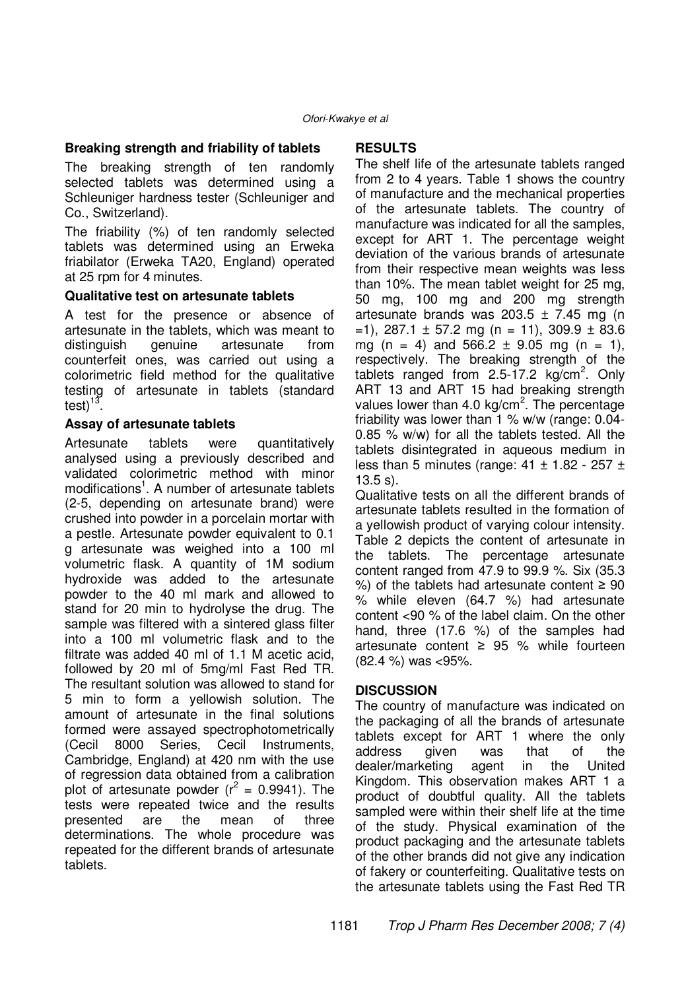### **Breaking strength and friability of tablets**

The breaking strength of ten randomly selected tablets was determined using a Schleuniger hardness tester (Schleuniger and Co., Switzerland).

The friability (%) of ten randomly selected tablets was determined using an Erweka friabilator (Erweka TA20, England) operated at 25 rpm for 4 minutes.

#### **Qualitative test on artesunate tablets**

A test for the presence or absence of artesunate in the tablets, which was meant to distinguish genuine artesunate from counterfeit ones, was carried out using a colorimetric field method for the qualitative testing of artesunate in tablets (standard test) $^{13}$ .

#### **Assay of artesunate tablets**

Artesunate tablets were quantitatively analysed using a previously described and validated colorimetric method with minor modifications<sup>1</sup>. A number of artesunate tablets (2-5, depending on artesunate brand) were crushed into powder in a porcelain mortar with a pestle. Artesunate powder equivalent to 0.1 g artesunate was weighed into a 100 ml volumetric flask. A quantity of 1M sodium hydroxide was added to the artesunate powder to the 40 ml mark and allowed to stand for 20 min to hydrolyse the drug. The sample was filtered with a sintered glass filter into a 100 ml volumetric flask and to the filtrate was added 40 ml of 1.1 M acetic acid, followed by 20 ml of 5mg/ml Fast Red TR. The resultant solution was allowed to stand for 5 min to form a yellowish solution. The amount of artesunate in the final solutions formed were assayed spectrophotometrically (Cecil 8000 Series, Cecil Instruments, Cambridge, England) at 420 nm with the use of regression data obtained from a calibration plot of artesunate powder ( $r^2 = 0.9941$ ). The tests were repeated twice and the results presented are the mean of three determinations. The whole procedure was repeated for the different brands of artesunate tablets.

#### **RESULTS**

The shelf life of the artesunate tablets ranged from 2 to 4 years. Table 1 shows the country of manufacture and the mechanical properties of the artesunate tablets. The country of manufacture was indicated for all the samples, except for ART 1. The percentage weight deviation of the various brands of artesunate from their respective mean weights was less than 10%. The mean tablet weight for 25 mg, 50 mg, 100 mg and 200 mg strength artesunate brands was  $203.5 \pm 7.45$  mg (n  $=$ 1), 287.1  $\pm$  57.2 mg (n = 11), 309.9  $\pm$  83.6 mg (n = 4) and  $566.2 \pm 9.05$  mg (n = 1), respectively. The breaking strength of the tablets ranged from  $2.5 - 17.2$  kg/cm<sup>2</sup>. Only ART 13 and ART 15 had breaking strength values lower than 4.0 kg/cm<sup>2</sup>. The percentage friability was lower than 1 % w/w (range: 0.04- 0.85 % w/w) for all the tablets tested. All the tablets disintegrated in aqueous medium in less than 5 minutes (range:  $41 \pm 1.82 - 257 \pm 1.5$ 13.5 s).

Qualitative tests on all the different brands of artesunate tablets resulted in the formation of a yellowish product of varying colour intensity. Table 2 depicts the content of artesunate in the tablets. The percentage artesunate content ranged from 47.9 to 99.9 %. Six (35.3 %) of the tablets had artesunate content  $\geq 90$ % while eleven (64.7 %) had artesunate content <90 % of the label claim. On the other hand, three (17.6 %) of the samples had artesunate content  $\geq$  95 % while fourteen (82.4 %) was <95%.

#### **DISCUSSION**

The country of manufacture was indicated on the packaging of all the brands of artesunate tablets except for ART 1 where the only address given was that of the dealer/marketing agent in the United Kingdom. This observation makes ART 1 a product of doubtful quality. All the tablets sampled were within their shelf life at the time of the study. Physical examination of the product packaging and the artesunate tablets of the other brands did not give any indication of fakery or counterfeiting. Qualitative tests on the artesunate tablets using the Fast Red TR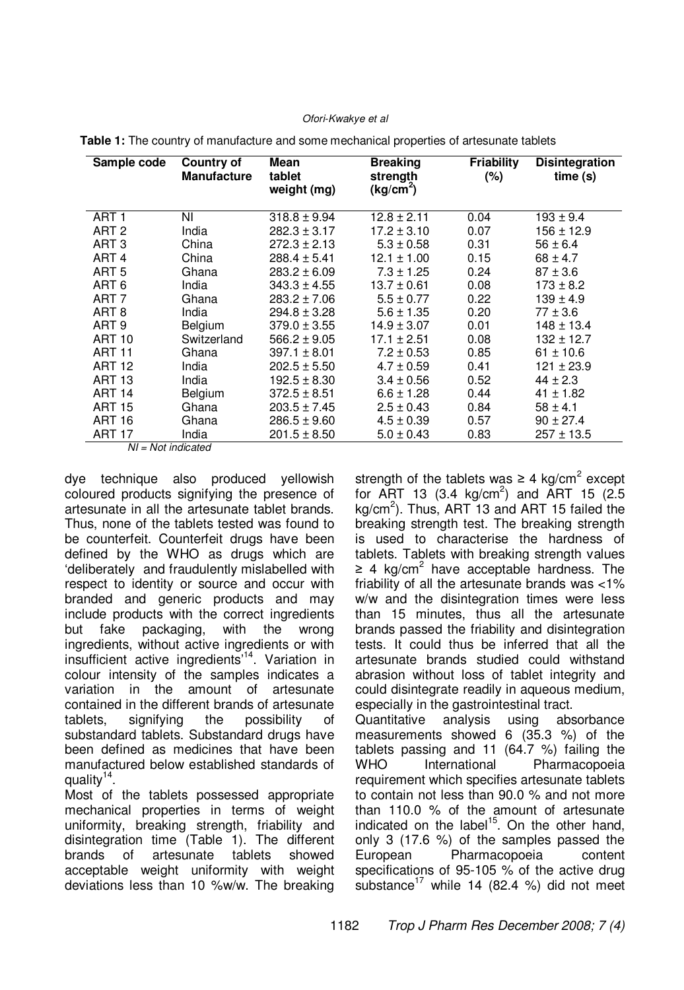#### Ofori-Kwakye et al

| Sample code            | Country of<br><b>Manufacture</b> | <b>Mean</b><br>tablet<br>weight (mg) | <b>Breaking</b><br>strength<br>(kg/cm <sup>2</sup> ) | <b>Friability</b><br>(%) | <b>Disintegration</b><br>time(s) |  |
|------------------------|----------------------------------|--------------------------------------|------------------------------------------------------|--------------------------|----------------------------------|--|
| ART 1                  | ΝI                               | $318.8 \pm 9.94$                     | $12.8 \pm 2.11$                                      | 0.04                     | $193 \pm 9.4$                    |  |
| ART <sub>2</sub>       | India                            | $282.3 \pm 3.17$                     | $17.2 \pm 3.10$                                      | 0.07                     | $156 \pm 12.9$                   |  |
| ART <sub>3</sub>       | China                            | $272.3 \pm 2.13$                     | $5.3 \pm 0.58$                                       | 0.31                     | $56 \pm 6.4$                     |  |
| ART <sub>4</sub>       | China                            | $288.4 \pm 5.41$                     | 12.1 ± 1.00                                          | 0.15                     | $68 \pm 4.7$                     |  |
| ART <sub>5</sub>       | Ghana                            | $283.2 \pm 6.09$                     | $7.3 \pm 1.25$                                       | 0.24                     | $87 \pm 3.6$                     |  |
| ART 6                  | India                            | $343.3 \pm 4.55$                     | $13.7 \pm 0.61$                                      | 0.08                     | $173 \pm 8.2$                    |  |
| ART <sub>7</sub>       | Ghana                            | $283.2 \pm 7.06$                     | $5.5 \pm 0.77$                                       | 0.22                     | $139 \pm 4.9$                    |  |
| ART 8                  | India                            | $294.8 \pm 3.28$                     | $5.6 \pm 1.35$                                       | 0.20                     | $77 \pm 3.6$                     |  |
| ART <sub>9</sub>       | Belgium                          | $379.0 \pm 3.55$                     | $14.9 \pm 3.07$                                      | 0.01                     | $148 \pm 13.4$                   |  |
| <b>ART 10</b>          | Switzerland                      | $566.2 \pm 9.05$                     | $17.1 \pm 2.51$                                      | 0.08                     | $132 \pm 12.7$                   |  |
| <b>ART 11</b>          | Ghana                            | $397.1 \pm 8.01$                     | $7.2 \pm 0.53$                                       | 0.85                     | $61 \pm 10.6$                    |  |
| <b>ART 12</b>          | India                            | $202.5 \pm 5.50$                     | $4.7 \pm 0.59$                                       | 0.41                     | $121 \pm 23.9$                   |  |
| <b>ART 13</b>          | India                            | $192.5 \pm 8.30$                     | $3.4 \pm 0.56$                                       | 0.52                     | $44 \pm 2.3$                     |  |
| <b>ART 14</b>          | Belgium                          | $372.5 \pm 8.51$                     | $6.6 \pm 1.28$                                       | 0.44                     | $41 \pm 1.82$                    |  |
| <b>ART 15</b>          | Ghana                            | $203.5 \pm 7.45$                     | $2.5 \pm 0.43$                                       | 0.84                     | $58 \pm 4.1$                     |  |
| <b>ART 16</b>          | Ghana                            | $286.5 \pm 9.60$                     | $4.5 \pm 0.39$                                       | 0.57                     | $90 \pm 27.4$                    |  |
| <b>ART 17</b>          | India                            | $201.5 \pm 8.50$                     | $5.0 \pm 0.43$                                       | 0.83                     | $257 \pm 13.5$                   |  |
| $NII = NIot$ indicated |                                  |                                      |                                                      |                          |                                  |  |

|  |  |  |  |  |  |  |  |  |  | Table 1: The country of manufacture and some mechanical properties of artesunate tablets |  |
|--|--|--|--|--|--|--|--|--|--|------------------------------------------------------------------------------------------|--|
|--|--|--|--|--|--|--|--|--|--|------------------------------------------------------------------------------------------|--|

NI = Not indicated

dye technique also produced yellowish coloured products signifying the presence of artesunate in all the artesunate tablet brands. Thus, none of the tablets tested was found to be counterfeit. Counterfeit drugs have been defined by the WHO as drugs which are 'deliberately and fraudulently mislabelled with respect to identity or source and occur with branded and generic products and may include products with the correct ingredients but fake packaging, with the wrong ingredients, without active ingredients or with insufficient active ingredients'<sup>14</sup>. Variation in colour intensity of the samples indicates a variation in the amount of artesunate contained in the different brands of artesunate tablets, signifying the possibility of substandard tablets. Substandard drugs have been defined as medicines that have been manufactured below established standards of quality<sup>14</sup> .

Most of the tablets possessed appropriate mechanical properties in terms of weight uniformity, breaking strength, friability and disintegration time (Table 1). The different brands of artesunate tablets showed acceptable weight uniformity with weight deviations less than 10 %w/w. The breaking

strength of the tablets was  $\geq 4$  kg/cm<sup>2</sup> except for ART 13  $(3.4 \text{ kg/cm}^2)$  and ART 15  $(2.5 \text{ m})$ kg/cm<sup>2</sup>). Thus, ART 13 and ART 15 failed the breaking strength test. The breaking strength is used to characterise the hardness of tablets. Tablets with breaking strength values  $\geq$  4 kg/cm<sup>2</sup> have acceptable hardness. The friability of all the artesunate brands was <1% w/w and the disintegration times were less than 15 minutes, thus all the artesunate brands passed the friability and disintegration tests. It could thus be inferred that all the artesunate brands studied could withstand abrasion without loss of tablet integrity and could disintegrate readily in aqueous medium, especially in the gastrointestinal tract. Quantitative analysis using absorbance

measurements showed 6 (35.3 %) of the tablets passing and 11 (64.7 %) failing the WHO International Pharmacopoeia requirement which specifies artesunate tablets to contain not less than 90.0 % and not more than 110.0 % of the amount of artesunate indicated on the label<sup>15</sup>. On the other hand, only 3 (17.6 %) of the samples passed the European Pharmacopoeia content specifications of 95-105 % of the active drug substance<sup>17</sup> while 14 (82.4 %) did not meet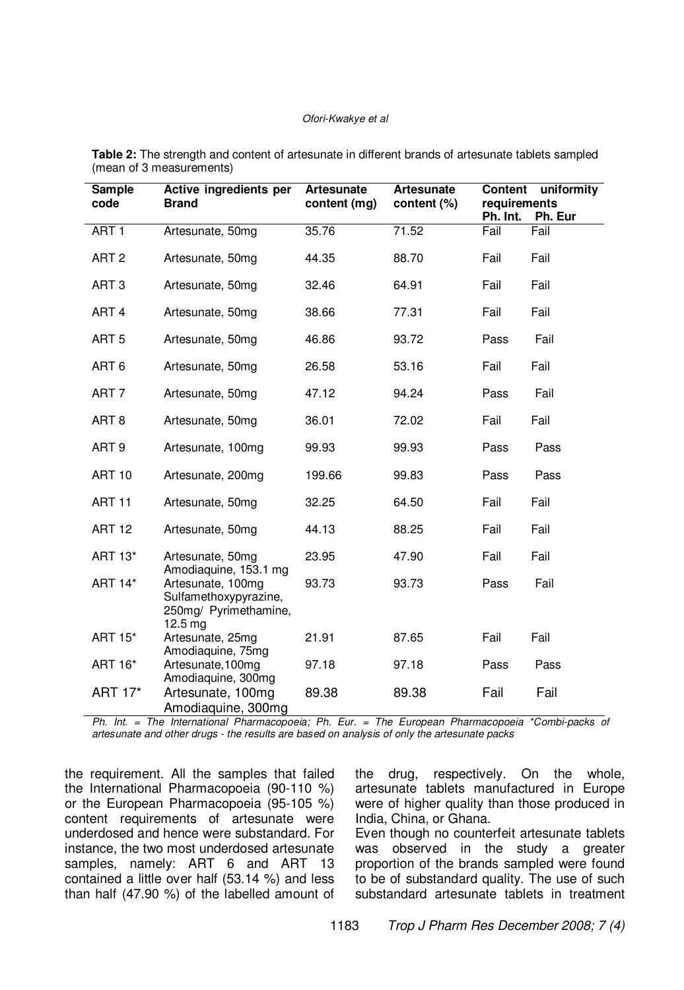#### Ofori-Kwakye et al

| Sample<br>code   | Active ingredients per<br><b>Brand</b>                                                   | <b>Artesunate</b><br>content (mg) | <b>Artesunate</b><br>content (%) | Content uniformity<br>requirements<br>Ph. Int.<br>Ph. Eur |      |
|------------------|------------------------------------------------------------------------------------------|-----------------------------------|----------------------------------|-----------------------------------------------------------|------|
| ART <sub>1</sub> | Artesunate, 50mg                                                                         | 35.76                             | 71.52                            | Fail                                                      | Fail |
| ART <sub>2</sub> | Artesunate, 50mg                                                                         | 44.35                             | 88.70                            | Fail                                                      | Fail |
| ART <sub>3</sub> | Artesunate, 50mg                                                                         | 32.46                             | 64.91                            | Fail                                                      | Fail |
| ART <sub>4</sub> | Artesunate, 50mg                                                                         | 38.66                             | 77.31                            | Fail                                                      | Fail |
| ART <sub>5</sub> | Artesunate, 50mg                                                                         | 46.86                             | 93.72                            | Pass                                                      | Fail |
| ART <sub>6</sub> | Artesunate, 50mg                                                                         | 26.58                             | 53.16                            | Fail                                                      | Fail |
| ART <sub>7</sub> | Artesunate, 50mg                                                                         | 47.12                             | 94.24                            | Pass                                                      | Fail |
| ART <sub>8</sub> | Artesunate, 50mg                                                                         | 36.01                             | 72.02                            | Fail                                                      | Fail |
| ART <sub>9</sub> | Artesunate, 100mg                                                                        | 99.93                             | 99.93                            | Pass                                                      | Pass |
| <b>ART 10</b>    | Artesunate, 200mg                                                                        | 199.66                            | 99.83                            | Pass                                                      | Pass |
| <b>ART 11</b>    | Artesunate, 50mg                                                                         | 32.25                             | 64.50                            | Fail                                                      | Fail |
| <b>ART 12</b>    | Artesunate, 50mg                                                                         | 44.13                             | 88.25                            | Fail                                                      | Fail |
| ART 13*          | Artesunate, 50mg<br>Amodiaquine, 153.1 mg                                                | 23.95                             | 47.90                            | Fail                                                      | Fail |
| ART 14*          | Artesunate, 100mg<br>Sulfamethoxypyrazine,<br>250mg/ Pyrimethamine,<br>$12.5 \text{ mg}$ | 93.73                             | 93.73                            | Pass                                                      | Fail |
| <b>ART 15*</b>   | Artesunate, 25mg<br>Amodiaquine, 75mg                                                    | 21.91                             | 87.65                            | Fail                                                      | Fail |
| ART 16*          | Artesunate, 100mg<br>Amodiaquine, 300mg                                                  | 97.18                             | 97.18                            | Pass                                                      | Pass |
| ART 17*          | Artesunate, 100mg<br>Amodiaquine, 300mg                                                  | 89.38                             | 89.38                            | Fail                                                      | Fail |

**Table 2:** The strength and content of artesunate in different brands of artesunate tablets sampled (mean of 3 measurements)

Ph. Int. = The International Pharmacopoeia; Ph. Eur. = The European Pharmacopoeia \*Combi-packs of artesunate and other drugs - the results are based on analysis of only the artesunate packs

the requirement. All the samples that failed the International Pharmacopoeia (90-110 %) or the European Pharmacopoeia (95-105 %) content requirements of artesunate were underdosed and hence were substandard. For instance, the two most underdosed artesunate samples, namely: ART 6 and ART 13 contained a little over half (53.14 %) and less than half (47.90 %) of the labelled amount of

the drug, respectively. On the whole, artesunate tablets manufactured in Europe were of higher quality than those produced in India, China, or Ghana.

Even though no counterfeit artesunate tablets was observed in the study a greater proportion of the brands sampled were found to be of substandard quality. The use of such substandard artesunate tablets in treatment